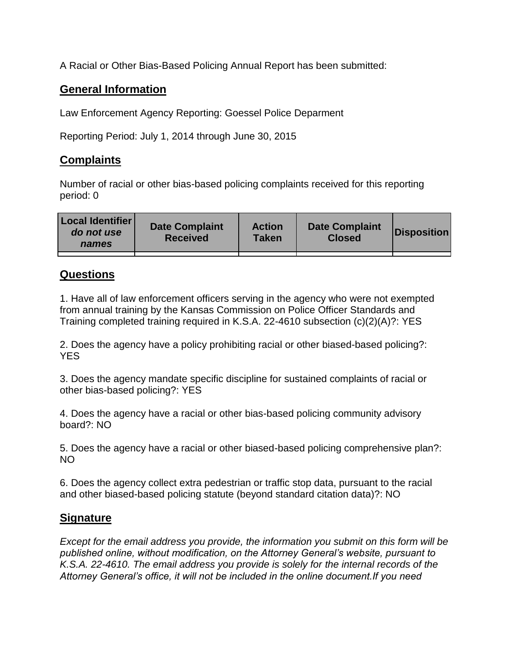A Racial or Other Bias-Based Policing Annual Report has been submitted:

## **General Information**

Law Enforcement Agency Reporting: Goessel Police Deparment

Reporting Period: July 1, 2014 through June 30, 2015

## **Complaints**

Number of racial or other bias-based policing complaints received for this reporting period: 0

| <b>Local Identifier</b><br>do not use<br>names | <b>Date Complaint</b><br><b>Received</b> | <b>Action</b><br><b>Taken</b> | <b>Date Complaint</b><br><b>Closed</b> | Disposition |
|------------------------------------------------|------------------------------------------|-------------------------------|----------------------------------------|-------------|
|                                                |                                          |                               |                                        |             |

## **Questions**

1. Have all of law enforcement officers serving in the agency who were not exempted from annual training by the Kansas Commission on Police Officer Standards and Training completed training required in K.S.A. 22-4610 subsection (c)(2)(A)?: YES

2. Does the agency have a policy prohibiting racial or other biased-based policing?: YES

3. Does the agency mandate specific discipline for sustained complaints of racial or other bias-based policing?: YES

4. Does the agency have a racial or other bias-based policing community advisory board?: NO

5. Does the agency have a racial or other biased-based policing comprehensive plan?: NO

6. Does the agency collect extra pedestrian or traffic stop data, pursuant to the racial and other biased-based policing statute (beyond standard citation data)?: NO

## **Signature**

*Except for the email address you provide, the information you submit on this form will be published online, without modification, on the Attorney General's website, pursuant to K.S.A. 22-4610. The email address you provide is solely for the internal records of the Attorney General's office, it will not be included in the online document.If you need*